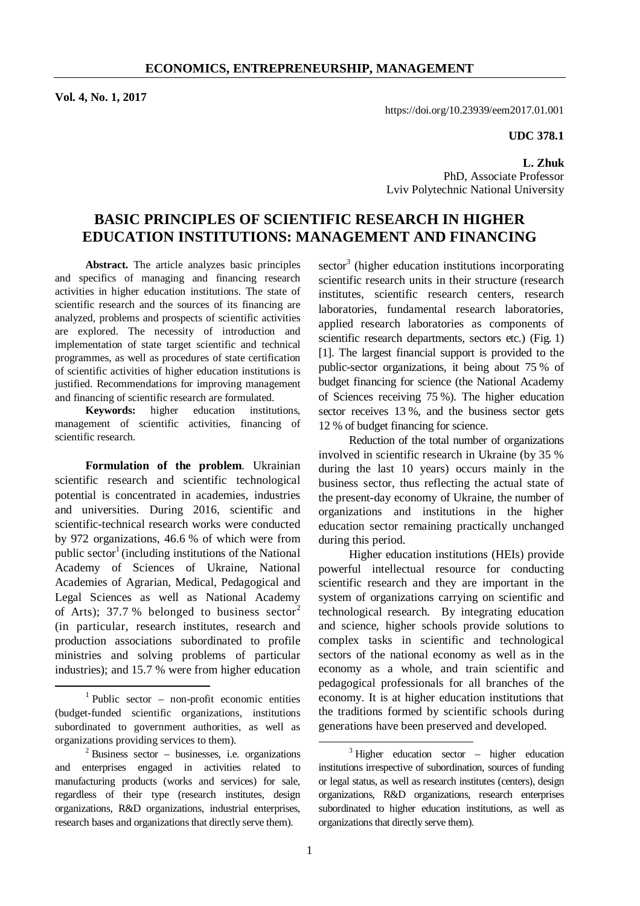**Vol. 4, No. 1, 2017** 

https://doi.org/10.23939/eem2017.01.001

#### **UDC 378.1**

**L. Zhuk**  PhD, Associate Professor Lviv Polytechnic National University

# **BASIC PRINCIPLES OF SCIENTIFIC RESEARCH IN HIGHER EDUCATION INSTITUTIONS: MANAGEMENT AND FINANCING**

**Abstract.** The article analyzes basic principles and specifics of managing and financing research activities in higher education institutions. The state of scientific research and the sources of its financing are analyzed, problems and prospects of scientific activities are explored. The necessity of introduction and implementation of state target scientific and technical programmes, as well as procedures of state certification of scientific activities of higher education institutions is justified. Recommendations for improving management and financing of scientific research are formulated.

**Keywords:** higher education institutions, management of scientific activities, financing of scientific research.

**Formulation of the problem**. Ukrainian scientific research and scientific technological potential is concentrated in academies, industries and universities. During 2016, scientific and scientific-technical research works were conducted by 972 organizations, 46.6 % of which were from public sector<sup>1</sup> (including institutions of the National Academy of Sciences of Ukraine, National Academies of Agrarian, Medical, Pedagogical and Legal Sciences as well as National Academy of Arts); 37.7 % belonged to business sector<sup>2</sup> (in particular, research institutes, research and production associations subordinated to profile ministries and solving problems of particular industries); and 15.7 % were from higher education

 $\overline{a}$ 

 $\sec$ tor<sup>3</sup> (higher education institutions incorporating scientific research units in their structure (research institutes, scientific research centers, research laboratories, fundamental research laboratories, applied research laboratories as components of scientific research departments, sectors etc.) (Fig. 1) [1]. The largest financial support is provided to the public-sector organizations, it being about 75 % of budget financing for science (the National Academy of Sciences receiving 75 %). The higher education sector receives 13 %, and the business sector gets 12 % of budget financing for science.

Reduction of the total number of organizations involved in scientific research in Ukraine (by 35 % during the last 10 years) occurs mainly in the business sector, thus reflecting the actual state of the present-day economy of Ukraine, the number of organizations and institutions in the higher education sector remaining practically unchanged during this period.

Higher education institutions (HEIs) provide powerful intellectual resource for conducting scientific research and they are important in the system of organizations carrying on scientific and technological research. By integrating education and science, higher schools provide solutions to complex tasks in scientific and technological sectors of the national economy as well as in the economy as a whole, and train scientific and pedagogical professionals for all branches of the economy. It is at higher education institutions that the traditions formed by scientific schools during generations have been preserved and developed.

 $\overline{a}$ 

<sup>1</sup> Public sector – non-profit economic entities (budget-funded scientific organizations, institutions subordinated to government authorities, as well as organizations providing services to them).

 $2$  Business sector – businesses, i.e. organizations and enterprises engaged in activities related to manufacturing products (works and services) for sale, regardless of their type (research institutes, design organizations, R&D organizations, industrial enterprises, research bases and organizations that directly serve them).

 $3$  Higher education sector – higher education institutions irrespective of subordination, sources of funding or legal status, as well as research institutes (centers), design organizations, R&D organizations, research enterprises subordinated to higher education institutions, as well as organizations that directly serve them).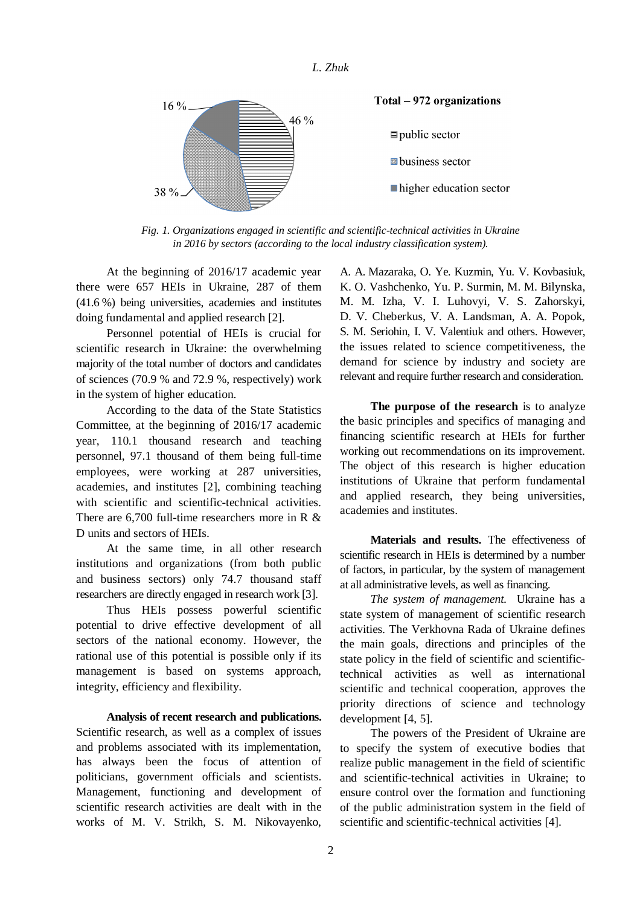

*Fig. 1. Organizations engaged in scientific and scientific-technical activities in Ukraine in 2016 by sectors (according to the local industry classification system).* 

At the beginning of 2016/17 academic year there were 657 HEIs in Ukraine, 287 of them (41.6 %) being universities, academies and institutes doing fundamental and applied research [2].

Personnel potential of HEIs is crucial for scientific research in Ukraine: the overwhelming majority of the total number of doctors and candidates of sciences (70.9 % and 72.9 %, respectively) work in the system of higher education.

According to the data of the State Statistics Committee, at the beginning of 2016/17 academic year, 110.1 thousand research and teaching personnel, 97.1 thousand of them being full-time employees, were working at 287 universities, academies, and institutes [2], combining teaching with scientific and scientific-technical activities. There are 6,700 full-time researchers more in R  $\&$ D units and sectors of HEIs.

At the same time, in all other research institutions and organizations (from both public and business sectors) only 74.7 thousand staff researchers are directly engaged in research work [3].

Thus HEIs possess powerful scientific potential to drive effective development of all sectors of the national economy. However, the rational use of this potential is possible only if its management is based on systems approach, integrity, efficiency and flexibility.

**Analysis of recent research and publications.** Scientific research, as well as a complex of issues and problems associated with its implementation, has always been the focus of attention of politicians, government officials and scientists. Management, functioning and development of scientific research activities are dealt with in the works of M. V. Strikh, S. M. Nikovayenko,

A. A. Mazaraka, O. Ye. Kuzmin, Yu. V. Kovbasiuk, K. O. Vashchenko, Yu. P. Surmin, M. M. Bilynska, M. M. Izha, V. I. Luhovyi, V. S. Zahorskyi, D. V. Cheberkus, V. A. Landsman, A. A. Popok, S. M. Seriohin, I. V. Valentiuk and others. However, the issues related to science competitiveness, the demand for science by industry and society are relevant and require further research and consideration.

**The purpose of the research** is to analyze the basic principles and specifics of managing and financing scientific research at HEIs for further working out recommendations on its improvement. The object of this research is higher education institutions of Ukraine that perform fundamental and applied research, they being universities, academies and institutes.

**Materials and results.** The effectiveness of scientific research in HEIs is determined by a number of factors, in particular, by the system of management at all administrative levels, as well as financing.

*The system of management.* Ukraine has a state system of management of scientific research activities. The Verkhovna Rada of Ukraine defines the main goals, directions and principles of the state policy in the field of scientific and scientifictechnical activities as well as international scientific and technical cooperation, approves the priority directions of science and technology development [4, 5].

The powers of the President of Ukraine are to specify the system of executive bodies that realize public management in the field of scientific and scientific-technical activities in Ukraine; to ensure control over the formation and functioning of the public administration system in the field of scientific and scientific-technical activities [4].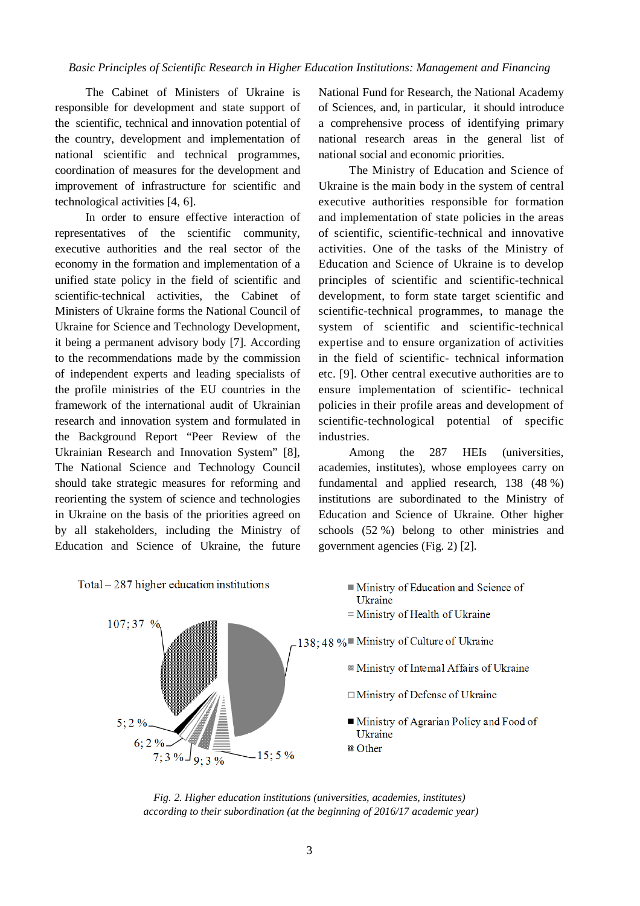The Cabinet of Ministers of Ukraine is responsible for development and state support of the scientific, technical and innovation potential of the country, development and implementation of national scientific and technical programmes, coordination of measures for the development and improvement of infrastructure for scientific and technological activities [4, 6].

In order to ensure effective interaction of representatives of the scientific community, executive authorities and the real sector of the economy in the formation and implementation of a unified state policy in the field of scientific and scientific-technical activities, the Cabinet of Ministers of Ukraine forms the National Council of Ukraine for Science and Technology Development, it being a permanent advisory body [7]. According to the recommendations made by the commission of independent experts and leading specialists of the profile ministries of the EU countries in the framework of the international audit of Ukrainian research and innovation system and formulated in the Background Report "Peer Review of the Ukrainian Research and Innovation System" [8], The National Science and Technology Council should take strategic measures for reforming and reorienting the system of science and technologies in Ukraine on the basis of the priorities agreed on by all stakeholders, including the Ministry of Education and Science of Ukraine, the future National Fund for Research, the National Academy of Sciences, and, in particular, it should introduce a comprehensive process of identifying primary national research areas in the general list of national social and economic priorities.

The Ministry of Education and Science of Ukraine is the main body in the system of central executive authorities responsible for formation and implementation of state policies in the areas of scientific, scientific-technical and innovative activities. One of the tasks of the Ministry of Education and Science of Ukraine is to develop principles of scientific and scientific-technical development, to form state target scientific and scientific-technical programmes, to manage the system of scientific and scientific-technical expertise and to ensure organization of activities in the field of scientific- technical information etc. [9]. Other central executive authorities are to ensure implementation of scientific- technical policies in their profile areas and development of scientific-technological potential of specific industries.

Among the 287 HEIs (universities, academies, institutes), whose employees carry on fundamental and applied research, 138 (48 %) institutions are subordinated to the Ministry of Education and Science of Ukraine. Other higher schools (52 %) belong to other ministries and government agencies (Fig. 2) [2].



*Fig. 2. Higher education institutions (universities, academies, institutes) according to their subordination (at the beginning of 2016/17 academic year)*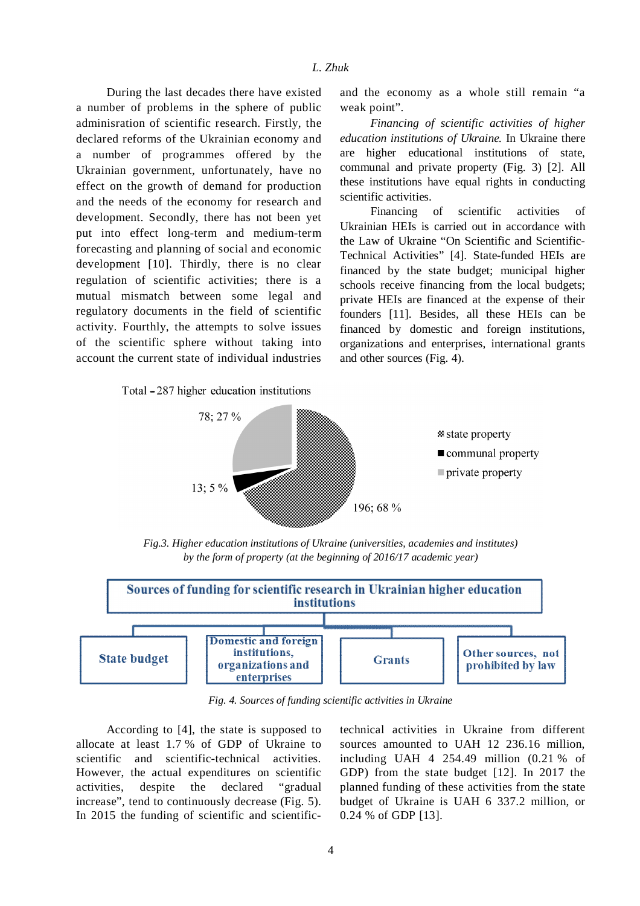During the last decades there have existed a number of problems in the sphere of public adminisration of scientific research. Firstly, the declared reforms of the Ukrainian economy and a number of programmes offered by the Ukrainian government, unfortunately, have no effect on the growth of demand for production and the needs of the economy for research and development. Secondly, there has not been yet put into effect long-term and medium-term forecasting and planning of social and economic development [10]. Thirdly, there is no clear regulation of scientific activities; there is a mutual mismatch between some legal and regulatory documents in the field of scientific activity. Fourthly, the attempts to solve issues of the scientific sphere without taking into account the current state of individual industries

#### Total - 287 higher education institutions

and the economy as a whole still remain "a weak point".

*Financing of scientific activities of higher education institutions of Ukraine.* In Ukraine there are higher educational institutions of state, communal and private property (Fig. 3) [2]. All these institutions have equal rights in conducting scientific activities.

Financing of scientific activities of Ukrainian HEIs is carried out in accordance with the Law of Ukraine "On Scientific and Scientific-Technical Activities" [4]. State-funded HEIs are financed by the state budget; municipal higher schools receive financing from the local budgets; private HEIs are financed at the expense of their founders [11]. Besides, all these HEIs can be financed by domestic and foreign institutions, organizations and enterprises, international grants and other sources (Fig. 4).



*Fig.3. Higher education institutions of Ukraine (universities, academies and institutes) by the form of property (at the beginning of 2016/17 academic year)* 



*Fig. 4. Sources of funding scientific activities in Ukraine* 

According to [4], the state is supposed to allocate at least 1.7 % of GDP of Ukraine to scientific and scientific-technical activities. However, the actual expenditures on scientific activities, despite the declared "gradual increase", tend to continuously decrease (Fig. 5). In 2015 the funding of scientific and scientifictechnical activities in Ukraine from different sources amounted to UAH 12 236.16 million, including UAH 4 254.49 million (0.21 % of GDP) from the state budget [12]. In 2017 the planned funding of these activities from the state budget of Ukraine is UAH 6 337.2 million, or 0.24 % of GDP [13].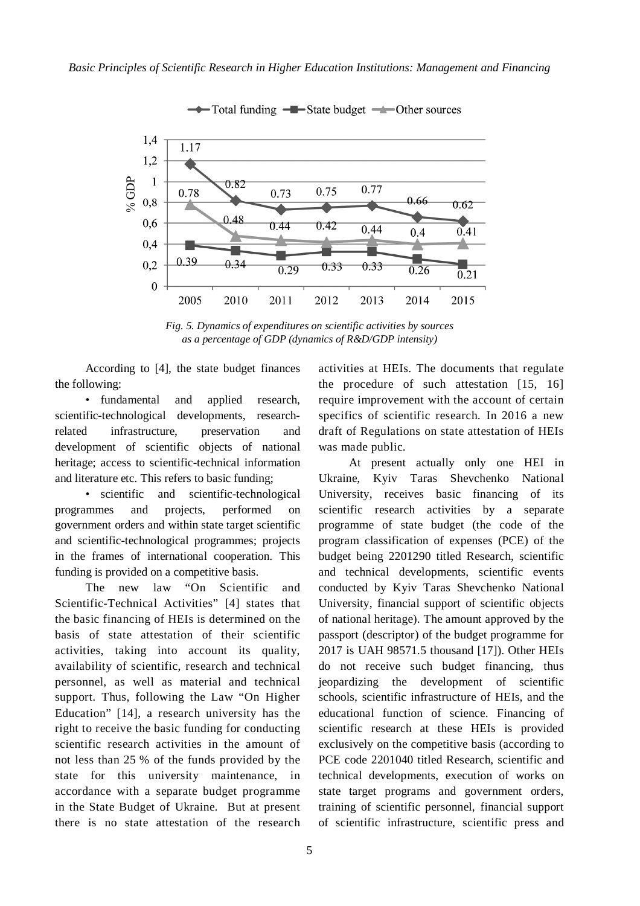

Total funding -Brate budget -Other sources

*Fig. 5. Dynamics of expenditures on scientific activities by sources as a percentage of GDP (dynamics of R&D/GDP intensity)* 

According to [4], the state budget finances the following:

• fundamental and applied research, scientific-technological developments, researchrelated infrastructure, preservation and development of scientific objects of national heritage; access to scientific-technical information and literature etc. This refers to basic funding;

• scientific and scientific-technological programmes and projects, performed on government orders and within state target scientific and scientific-technological programmes; projects in the frames of international cooperation. This funding is provided on a competitive basis.

The new law "On Scientific and Scientific-Technical Activities" [4] states that the basic financing of HEIs is determined on the basis of state attestation of their scientific activities, taking into account its quality, availability of scientific, research and technical personnel, as well as material and technical support. Thus, following the Law "On Higher Education" [14], a research university has the right to receive the basic funding for conducting scientific research activities in the amount of not less than 25 % of the funds provided by the state for this university maintenance, in accordance with a separate budget programme in the State Budget of Ukraine. But at present there is no state attestation of the research activities at HEIs. The documents that regulate the procedure of such attestation [15, 16] require improvement with the account of certain specifics of scientific research. In 2016 a new draft of Regulations on state attestation of HEIs was made public.

At present actually only one HEI in Ukraine, Kyiv Taras Shevchenko National University, receives basic financing of its scientific research activities by a separate programme of state budget (the code of the program classification of expenses (PCE) of the budget being 2201290 titled Research, scientific and technical developments, scientific events conducted by Kyiv Taras Shevchenko National University, financial support of scientific objects of national heritage). The amount approved by the passport (descriptor) of the budget programme for 2017 is UAH 98571.5 thousand [17]). Other HEIs do not receive such budget financing, thus jeopardizing the development of scientific schools, scientific infrastructure of HEIs, and the educational function of science. Financing of scientific research at these HEIs is provided exclusively on the competitive basis (according to PCE code 2201040 titled Research, scientific and technical developments, execution of works on state target programs and government orders, training of scientific personnel, financial support of scientific infrastructure, scientific press and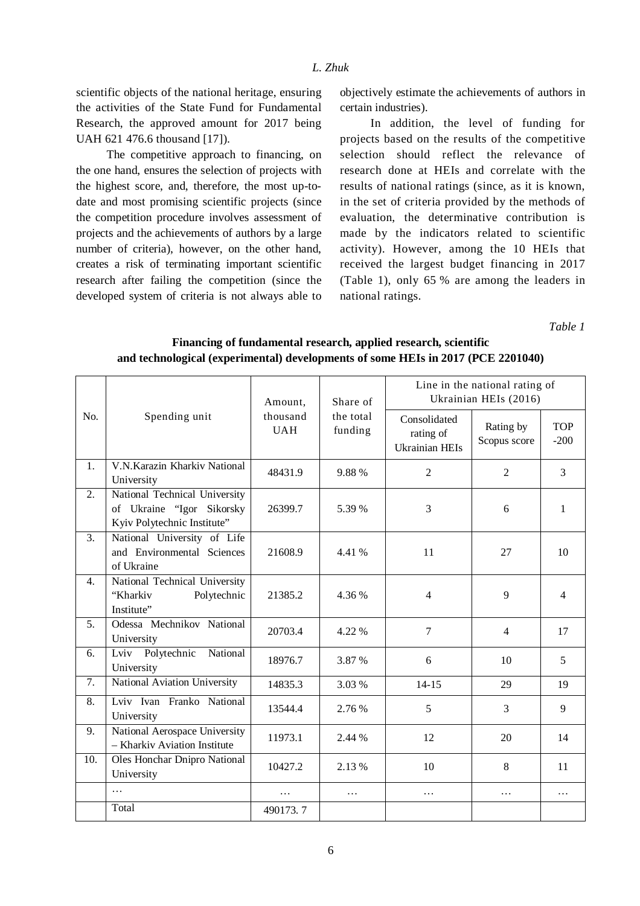scientific objects of the national heritage, ensuring the activities of the State Fund for Fundamental Research, the approved amount for 2017 being UAH 621 476.6 thousand [17]).

The competitive approach to financing, on the one hand, ensures the selection of projects with the highest score, and, therefore, the most up-todate and most promising scientific projects (since the competition procedure involves assessment of projects and the achievements of authors by a large number of criteria), however, on the other hand, creates a risk of terminating important scientific research after failing the competition (since the developed system of criteria is not always able to objectively estimate the achievements of authors in certain industries).

In addition, the level of funding for projects based on the results of the competitive selection should reflect the relevance of research done at HEIs and correlate with the results of national ratings (since, as it is known, in the set of criteria provided by the methods of evaluation, the determinative contribution is made by the indicators related to scientific activity). However, among the 10 HEIs that received the largest budget financing in 2017 (Table 1), only 65 % are among the leaders in national ratings.

*Table 1* 

| No.              | Spending unit                                                                             | Amount,<br>thousand<br><b>UAH</b> | Share of<br>the total<br>funding | Line in the national rating of<br>Ukrainian HEIs (2016) |                           |                      |  |
|------------------|-------------------------------------------------------------------------------------------|-----------------------------------|----------------------------------|---------------------------------------------------------|---------------------------|----------------------|--|
|                  |                                                                                           |                                   |                                  | Consolidated<br>rating of<br><b>Ukrainian HEIs</b>      | Rating by<br>Scopus score | <b>TOP</b><br>$-200$ |  |
| 1.               | V.N.Karazin Kharkiv National<br>University                                                | 48431.9                           | 9.88%                            | $\overline{2}$<br>$\overline{2}$                        |                           | 3                    |  |
| 2.               | National Technical University<br>of Ukraine "Igor Sikorsky<br>Kyiv Polytechnic Institute" | 26399.7                           | 5.39 %                           | 3                                                       | 6                         | $\mathbf{1}$         |  |
| 3.               | National University of Life<br>and Environmental Sciences<br>of Ukraine                   | 21608.9                           | 4.41 %                           | 11                                                      | 27                        | 10                   |  |
| $\overline{4}$ . | National Technical University<br>Polytechnic<br>"Kharkiv<br>Institute"                    | 21385.2                           | 4.36 %                           | $\overline{4}$                                          | 9                         | $\overline{4}$       |  |
| 5.               | Odessa Mechnikov National<br>University                                                   | 20703.4                           | 4.22 %                           | $\overline{7}$                                          | $\overline{4}$            | 17                   |  |
| 6.               | National<br>Lviv Polytechnic<br>University                                                | 18976.7                           | 3.87 %                           | 6                                                       | 10                        | 5                    |  |
| 7.               | National Aviation University                                                              | 14835.3                           | 3.03 %                           | $14 - 15$                                               | 29                        | 19                   |  |
| 8.               | Lviv Ivan Franko National<br>University                                                   | 13544.4                           | 2.76 %                           | 5                                                       | 3                         | 9                    |  |
| 9.               | National Aerospace University<br>- Kharkiv Aviation Institute                             | 11973.1                           | 2.44 %                           | 12                                                      | 20                        | 14                   |  |
| 10.              | Oles Honchar Dnipro National<br>University                                                | 10427.2                           | 2.13 %                           | 10                                                      | 8                         | 11                   |  |
|                  | $\cdots$                                                                                  | $\cdots$                          | $\cdots$                         | $\ldots$                                                | $\ldots$                  | $\cdots$             |  |
|                  | Total                                                                                     | 490173.7                          |                                  |                                                         |                           |                      |  |

**Financing of fundamental research, applied research, scientific and technological (experimental) developments of some HEIs in 2017 (PCE 2201040)**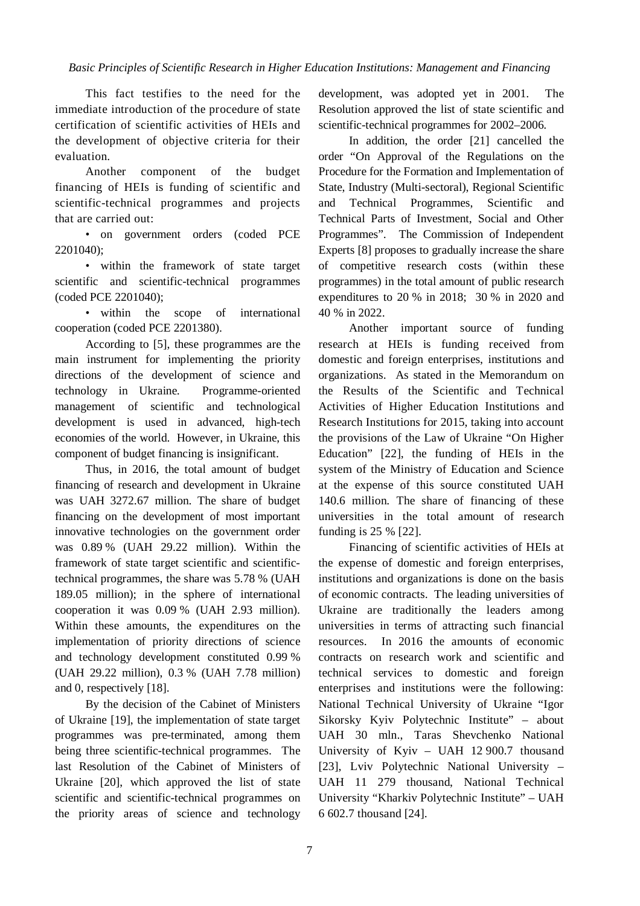This fact testifies to the need for the immediate introduction of the procedure of state certification of scientific activities of HEIs and the development of objective criteria for their evaluation.

Another component of the budget financing of HEIs is funding of scientific and scientific-technical programmes and projects that are carried out:

• on government orders (coded PCE 2201040);

• within the framework of state target scientific and scientific-technical programmes (coded PCE 2201040);

• within the scope of international cooperation (coded PCE 2201380).

According to [5], these programmes are the main instrument for implementing the priority directions of the development of science and technology in Ukraine. Programme-oriented management of scientific and technological development is used in advanced, high-tech economies of the world. However, in Ukraine, this component of budget financing is insignificant.

Thus, in 2016, the total amount of budget financing of research and development in Ukraine was UAH 3272.67 million. The share of budget financing on the development of most important innovative technologies on the government order was 0.89 % (UAH 29.22 million). Within the framework of state target scientific and scientifictechnical programmes, the share was 5.78 % (UAH 189.05 million); in the sphere of international cooperation it was 0.09 % (UAH 2.93 million). Within these amounts, the expenditures on the implementation of priority directions of science and technology development constituted 0.99 % (UAH 29.22 million), 0.3 % (UAH 7.78 million) and 0, respectively [18].

By the decision of the Cabinet of Ministers of Ukraine [19], the implementation of state target programmes was pre-terminated, among them being three scientific-technical programmes. The last Resolution of the Cabinet of Ministers of Ukraine [20], which approved the list of state scientific and scientific-technical programmes on the priority areas of science and technology development, was adopted yet in 2001. The Resolution approved the list of state scientific and scientific-technical programmes for 2002–2006.

In addition, the order [21] cancelled the order "On Approval of the Regulations on the Procedure for the Formation and Implementation of State, Industry (Multi-sectoral), Regional Scientific and Technical Programmes, Scientific and Technical Parts of Investment, Social and Other Programmes". The Commission of Independent Experts [8] proposes to gradually increase the share of competitive research costs (within these programmes) in the total amount of public research expenditures to 20 % in 2018; 30 % in 2020 and 40 % in 2022.

Another important source of funding research at HEIs is funding received from domestic and foreign enterprises, institutions and organizations. As stated in the Memorandum on the Results of the Scientific and Technical Activities of Higher Education Institutions and Research Institutions for 2015, taking into account the provisions of the Law of Ukraine "On Higher Education" [22], the funding of HEIs in the system of the Ministry of Education and Science at the expense of this source constituted UAH 140.6 million. The share of financing of these universities in the total amount of research funding is 25 % [22].

Financing of scientific activities of HEIs at the expense of domestic and foreign enterprises, institutions and organizations is done on the basis of economic contracts. The leading universities of Ukraine are traditionally the leaders among universities in terms of attracting such financial resources. In 2016 the amounts of economic contracts on research work and scientific and technical services to domestic and foreign enterprises and institutions were the following: National Technical University of Ukraine "Igor Sikorsky Kyiv Polytechnic Institute" – about UAH 30 mln., Taras Shevchenko National University of Kyiv – UAH 12 900.7 thousand [23], Lviv Polytechnic National University – UAH 11 279 thousand, National Technical University "Kharkiv Polytechnic Institute" – UAH 6 602.7 thousand [24].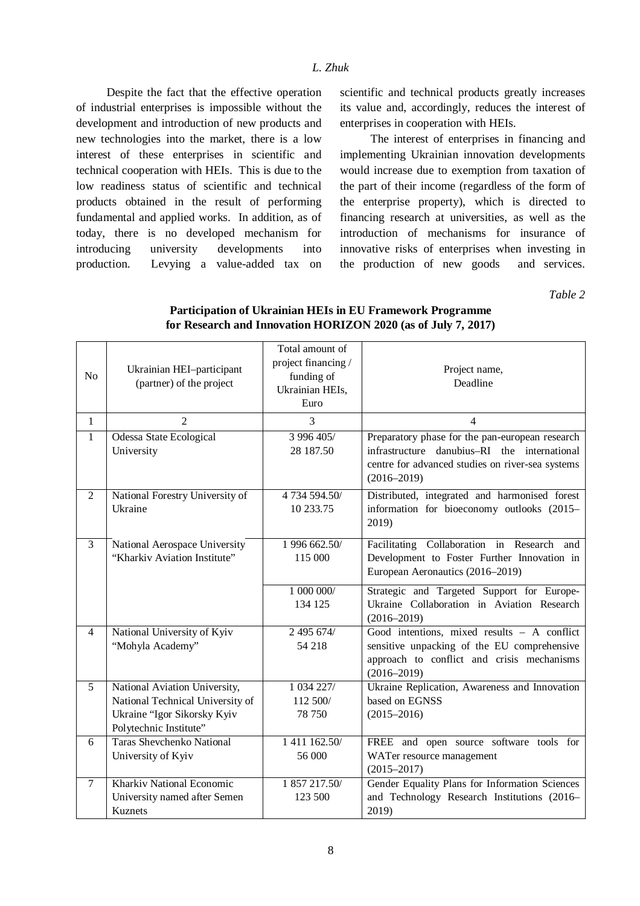Despite the fact that the effective operation of industrial enterprises is impossible without the development and introduction of new products and new technologies into the market, there is a low interest of these enterprises in scientific and technical cooperation with HEIs. This is due to the low readiness status of scientific and technical products obtained in the result of performing fundamental and applied works. In addition, as of today, there is no developed mechanism for introducing university developments into production. Levying a value-added tax on

scientific and technical products greatly increases its value and, accordingly, reduces the interest of enterprises in cooperation with HEIs.

The interest of enterprises in financing and implementing Ukrainian innovation developments would increase due to exemption from taxation of the part of their income (regardless of the form of the enterprise property), which is directed to financing research at universities, as well as the introduction of mechanisms for insurance of innovative risks of enterprises when investing in the production of new goods and services.

*Table 2* 

| N <sub>o</sub> | Ukrainian HEI-participant<br>(partner) of the project                                                                      | Total amount of<br>project financing /<br>funding of<br>Ukrainian HEIs,<br>Euro | Project name,<br>Deadline                                                                                                                                              |
|----------------|----------------------------------------------------------------------------------------------------------------------------|---------------------------------------------------------------------------------|------------------------------------------------------------------------------------------------------------------------------------------------------------------------|
| $\mathbf{1}$   | $\overline{2}$                                                                                                             | 3                                                                               | $\overline{4}$                                                                                                                                                         |
| $\mathbf{1}$   | <b>Odessa State Ecological</b><br>University                                                                               | 3 996 405/<br>28 187.50                                                         | Preparatory phase for the pan-european research<br>infrastructure danubius-RI the international<br>centre for advanced studies on river-sea systems<br>$(2016 - 2019)$ |
| $\overline{2}$ | National Forestry University of<br>Ukraine                                                                                 | 4 734 594.50/<br>10 233.75                                                      | Distributed, integrated and harmonised forest<br>information for bioeconomy outlooks (2015–<br>2019)                                                                   |
| $\overline{3}$ | National Aerospace University<br>"Kharkiv Aviation Institute"                                                              | 1 996 662.50/<br>115 000                                                        | Facilitating Collaboration in Research and<br>Development to Foster Further Innovation in<br>European Aeronautics (2016–2019)                                          |
|                |                                                                                                                            | 1 000 000/<br>134 125                                                           | Strategic and Targeted Support for Europe-<br>Ukraine Collaboration in Aviation Research<br>$(2016 - 2019)$                                                            |
| $\overline{4}$ | National University of Kyiv<br>"Mohyla Academy"                                                                            | 2 495 674/<br>54 218                                                            | Good intentions, mixed results $-$ A conflict<br>sensitive unpacking of the EU comprehensive<br>approach to conflict and crisis mechanisms<br>$(2016 - 2019)$          |
| 5              | National Aviation University,<br>National Technical University of<br>Ukraine "Igor Sikorsky Kyiv<br>Polytechnic Institute" | 1 034 227/<br>112 500/<br>78 750                                                | Ukraine Replication, Awareness and Innovation<br>based on EGNSS<br>$(2015 - 2016)$                                                                                     |
| 6              | <b>Taras Shevchenko National</b><br>University of Kyiv                                                                     | 1 411 162.50/<br>56 000                                                         | FREE and open source software tools for<br>WATer resource management<br>$(2015 - 2017)$                                                                                |
| $\overline{7}$ | Kharkiv National Economic<br>University named after Semen<br><b>Kuznets</b>                                                | 1 857 217.50/<br>123 500                                                        | Gender Equality Plans for Information Sciences<br>and Technology Research Institutions (2016-<br>2019)                                                                 |

## **Participation of Ukrainian HEIs in EU Framework Programme for Research and Innovation HORIZON 2020 (as of July 7, 2017)**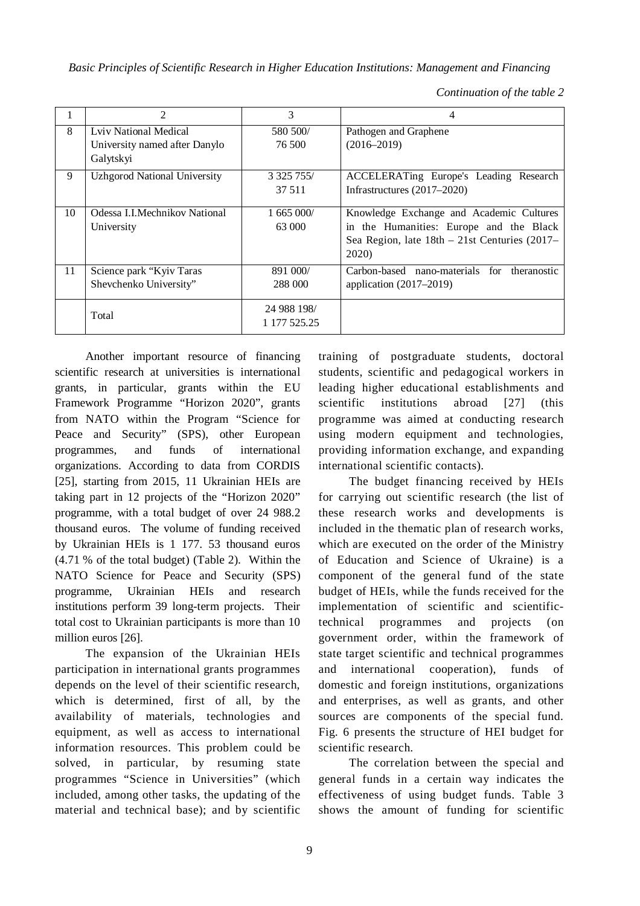*Basic Principles of Scientific Research in Higher Education Institutions: Management and Financing*

*Continuation of the table 2* 

|    | 2                                   | 3              | 4                                               |  |
|----|-------------------------------------|----------------|-------------------------------------------------|--|
| 8  | Lviv National Medical               | 580 500/       | Pathogen and Graphene                           |  |
|    | University named after Danylo       | 76.500         | $(2016 - 2019)$                                 |  |
|    | Galytskyi                           |                |                                                 |  |
| 9  | <b>Uzhgorod National University</b> | 3 3 25 7 5 5 / | ACCELERATing Europe's Leading Research          |  |
|    |                                     | 37 511         | Infrastructures $(2017-2020)$                   |  |
|    |                                     |                |                                                 |  |
| 10 | Odessa I.I.Mechnikov National       | 1,665,000/     | Knowledge Exchange and Academic Cultures        |  |
|    | University                          | 63 000         | in the Humanities: Europe and the Black         |  |
|    |                                     |                | Sea Region, late $18th - 21st$ Centuries (2017– |  |
|    |                                     |                | 2020)                                           |  |
| 11 | Science park "Kyiv Taras            | 891 000/       | Carbon-based nano-materials for<br>theranostic  |  |
|    | Shevchenko University"              | 288 000        | application $(2017-2019)$                       |  |
|    |                                     |                |                                                 |  |
|    | Total                               | 24 988 198/    |                                                 |  |
|    |                                     | 1 177 525.25   |                                                 |  |

Another important resource of financing scientific research at universities is international grants, in particular, grants within the EU Framework Programme "Horizon 2020", grants from NATO within the Program "Science for Peace and Security" (SPS), other European programmes, and funds of international organizations. According to data from CORDIS [25], starting from 2015, 11 Ukrainian HEIs are taking part in 12 projects of the "Horizon 2020" programme, with a total budget of over 24 988.2 thousand euros. The volume of funding received by Ukrainian HEIs is 1 177. 53 thousand euros (4.71 % of the total budget) (Table 2). Within the NATO Science for Peace and Security (SPS) programme, Ukrainian HEIs and research institutions perform 39 long-term projects. Their total cost to Ukrainian participants is more than 10 million euros [26].

The expansion of the Ukrainian HEIs participation in international grants programmes depends on the level of their scientific research, which is determined, first of all, by the availability of materials, technologies and equipment, as well as access to international information resources. This problem could be solved, in particular, by resuming state programmes "Science in Universities" (which included, among other tasks, the updating of the material and technical base); and by scientific training of postgraduate students, doctoral students, scientific and pedagogical workers in leading higher educational establishments and scientific institutions abroad [27] (this programme was aimed at conducting research using modern equipment and technologies, providing information exchange, and expanding international scientific contacts).

The budget financing received by HEIs for carrying out scientific research (the list of these research works and developments is included in the thematic plan of research works, which are executed on the order of the Ministry of Education and Science of Ukraine) is a component of the general fund of the state budget of HEIs, while the funds received for the implementation of scientific and scientifictechnical programmes and projects (on government order, within the framework of state target scientific and technical programmes and international cooperation), funds of domestic and foreign institutions, organizations and enterprises, as well as grants, and other sources are components of the special fund. Fig. 6 presents the structure of HEI budget for scientific research.

The correlation between the special and general funds in a certain way indicates the effectiveness of using budget funds. Table 3 shows the amount of funding for scientific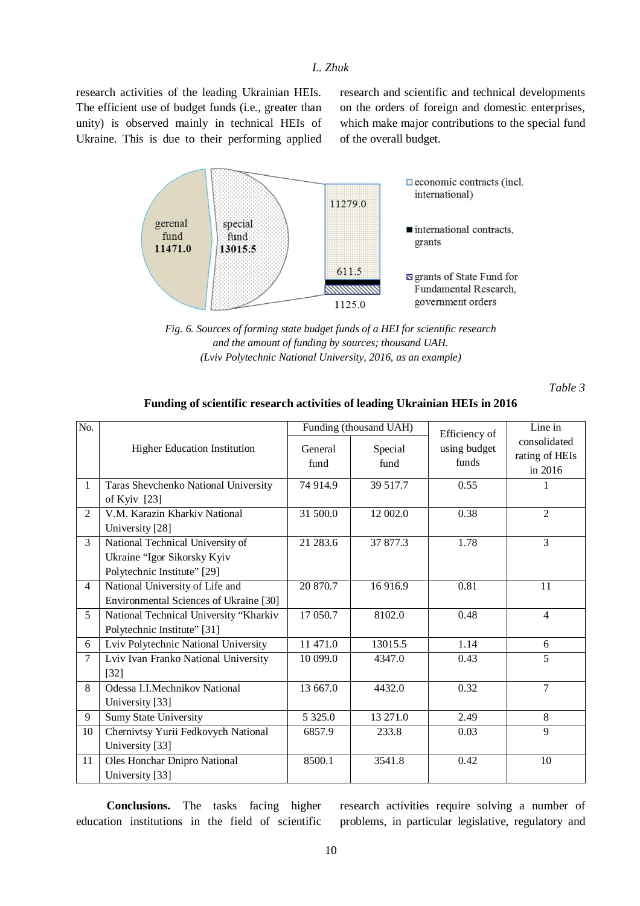research activities of the leading Ukrainian HEIs. The efficient use of budget funds (i.e., greater than unity) is observed mainly in technical HEIs of Ukraine. This is due to their performing applied research and scientific and technical developments on the orders of foreign and domestic enterprises, which make major contributions to the special fund of the overall budget.



*Fig. 6. Sources of forming state budget funds of a HEI for scientific research and the amount of funding by sources; thousand UAH. (Lviv Polytechnic National University, 2016, as an example)* 

*Table 3* 

| No.          |                                                                                                |                 | Funding (thousand UAH) | Efficiency of         | Line in                                   |
|--------------|------------------------------------------------------------------------------------------------|-----------------|------------------------|-----------------------|-------------------------------------------|
|              | <b>Higher Education Institution</b>                                                            | General<br>fund | Special<br>fund        | using budget<br>funds | consolidated<br>rating of HEIs<br>in 2016 |
| $\mathbf{1}$ | Taras Shevchenko National University<br>of Kyiv $[23]$                                         | 74 914.9        | 39 517.7               | 0.55                  |                                           |
| 2            | V.M. Karazin Kharkiv National<br>University [28]                                               | 31 500.0        | 12 002.0               | 0.38                  | $\overline{2}$                            |
| 3            | National Technical University of<br>Ukraine "Igor Sikorsky Kyiv<br>Polytechnic Institute" [29] | 21 283.6        | 37 877.3               | 1.78                  | 3                                         |
| 4            | National University of Life and<br>Environmental Sciences of Ukraine [30]                      | 20 870.7        | 16916.9                | 0.81                  | 11                                        |
| 5            | National Technical University "Kharkiv<br>Polytechnic Institute" [31]                          | 17 050.7        | 8102.0                 | 0.48                  | $\overline{4}$                            |
| 6            | Lviv Polytechnic National University                                                           | 11 471.0        | 13015.5                | 1.14                  | 6                                         |
| $\tau$       | Lviv Ivan Franko National University<br>$[32]$                                                 | 10 099.0        | 4347.0                 | 0.43                  | 5                                         |
| 8            | Odessa I.I.Mechnikov National<br>University [33]                                               | 13 667.0        | 4432.0                 | 0.32                  | $\tau$                                    |
| 9            | <b>Sumy State University</b>                                                                   | 5 3 2 5 .0      | 13 271.0               | 2.49                  | 8                                         |
| 10           | Chernivtsy Yurii Fedkovych National<br>University [33]                                         | 6857.9          | 233.8                  | 0.03                  | 9                                         |
| 11           | Oles Honchar Dnipro National<br>University [33]                                                | 8500.1          | 3541.8                 | 0.42                  | 10                                        |

#### **Funding of scientific research activities of leading Ukrainian HEIs in 2016**

**Conclusions.** The tasks facing higher education institutions in the field of scientific research activities require solving a number of problems, in particular legislative, regulatory and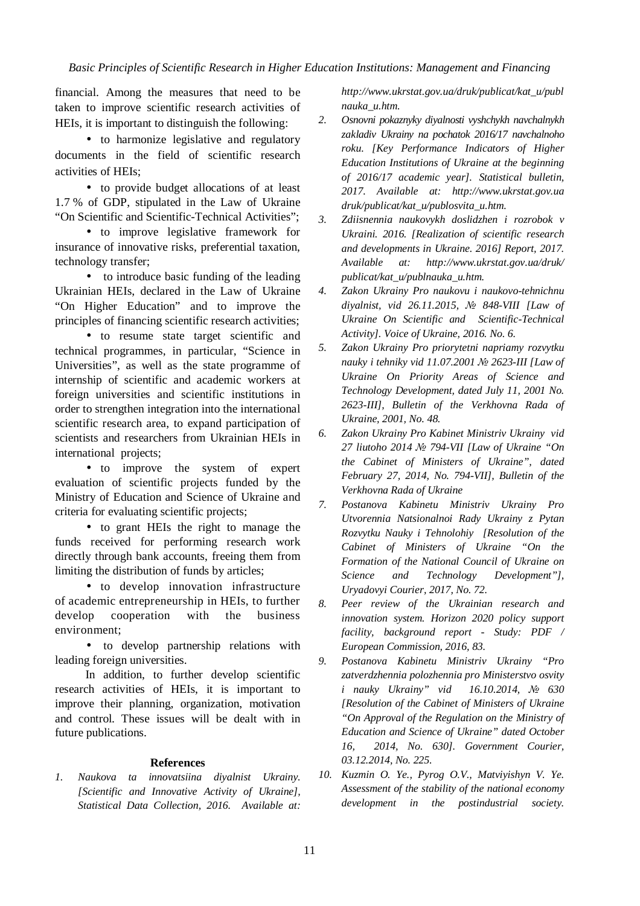financial. Among the measures that need to be taken to improve scientific research activities of HEIs, it is important to distinguish the following:

• to harmonize legislative and regulatory documents in the field of scientific research activities of HEIs;

• to provide budget allocations of at least 1.7 % of GDP, stipulated in the Law of Ukraine "On Scientific and Scientific-Technical Activities";

• to improve legislative framework for insurance of innovative risks, preferential taxation, technology transfer;

• to introduce basic funding of the leading Ukrainian HEIs, declared in the Law of Ukraine "On Higher Education" and to improve the principles of financing scientific research activities;

• to resume state target scientific and technical programmes, in particular, "Science in Universities", as well as the state programme of internship of scientific and academic workers at foreign universities and scientific institutions in order to strengthen integration into the international scientific research area, to expand participation of scientists and researchers from Ukrainian HEIs in international projects;

• to improve the system of expert evaluation of scientific projects funded by the Ministry of Education and Science of Ukraine and criteria for evaluating scientific projects;

• to grant HEIs the right to manage the funds received for performing research work directly through bank accounts, freeing them from limiting the distribution of funds by articles;

• to develop innovation infrastructure of academic entrepreneurship in HEIs, to further develop cooperation with the business environment;

• to develop partnership relations with leading foreign universities.

In addition, to further develop scientific research activities of HEIs, it is important to improve their planning, organization, motivation and control. These issues will be dealt with in future publications.

### **References**

*1. Naukova ta innovatsiina diyalnist Ukrainy. [Scientific and Innovative Activity of Ukraine], Statistical Data Collection, 2016. Available at:*  *http://www.ukrstat.gov.ua/druk/publicat/kat\_u/publ nauka\_u.htm.* 

- *2. Osnovni pokaznyky diyalnosti vyshchykh navchalnykh zakladiv Ukrainy na pochatok 2016/17 navchalnoho roku. [Key Performance Indicators of Higher Education Institutions of Ukraine at the beginning of 2016/17 academic year]. Statistical bulletin, 2017. Available at: http://www.ukrstat.gov.ua druk/publicat/kat\_u/publosvita\_u.htm.*
- *3. Zdiisnennia naukovykh doslidzhen i rozrobok v Ukraini. 2016. [Realization of scientific research and developments in Ukraine. 2016] Report, 2017. Available at: http://www.ukrstat.gov.ua/druk/ publicat/kat\_u/publnauka\_u.htm.*
- *4. Zakon Ukrainy Pro naukovu i naukovo-tehnichnu diyalnist, vid 26.11.2015, № 848-VIII [Law of Ukraine On Scientific and Scientific-Technical Activity]. Voice of Ukraine, 2016. No. 6.*
- *5. Zakon Ukrainy Pro priorytetni napriamy rozvytku nauky i tehniky vid 11.07.2001 № 2623-III [Law of Ukraine On Priority Areas of Science and Technology Development, dated July 11, 2001 No. 2623-III], Bulletin of the Verkhovna Rada of Ukraine, 2001, No. 48.*
- *6. Zakon Ukrainy Pro Kabinet Ministriv Ukrainy vid 27 liutoho 2014 № 794-VII [Law of Ukraine "On the Cabinet of Ministers of Ukraine", dated February 27, 2014, No. 794-VII], Bulletin of the Verkhovna Rada of Ukraine*
- *7. Postanova Kabinetu Ministriv Ukrainy Pro Utvorennia Natsionalnoi Rady Ukrainy z Pytan Rozvytku Nauky i Tehnolohiy [Resolution of the Cabinet of Ministers of Ukraine "On the Formation of the National Council of Ukraine on Science and Technology Development"], Uryadovyi Courier, 2017, No. 72.*

*8. Peer review of the Ukrainian research and innovation system. Horizon 2020 policy support facility, background report - Study: PDF / European Commission, 2016, 83.* 

- *9. Postanova Kabinetu Ministriv Ukrainy "Pro zatverdzhennia polozhennia pro Ministerstvo osvity i nauky Ukrainy" vid 16.10.2014, № 630 [Resolution of the Cabinet of Ministers of Ukraine "On Approval of the Regulation on the Ministry of Education and Science of Ukraine" dated October 16, 2014, No. 630]. Government Courier, 03.12.2014, No. 225.*
- *10. Kuzmin O. Ye., Pyrog O.V., Matviyishyn V. Ye. Assessment of the stability of the national economy development in the postindustrial society.*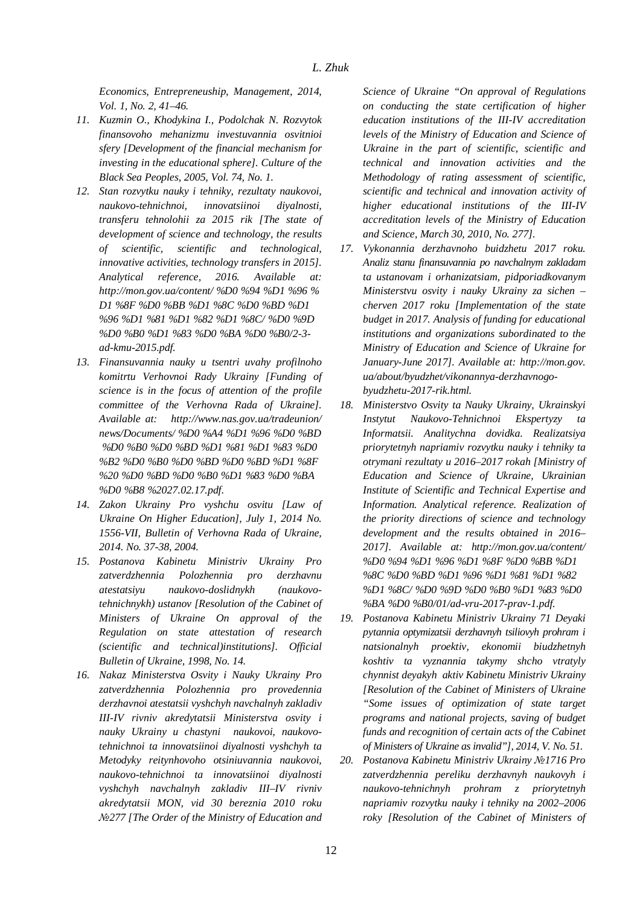*Economics, Entrepreneuship, Management, 2014, Vol. 1, No. 2, 41–46.* 

- *11. Kuzmin O., Khodykina I., Podolchak N. Rozvytok finansovoho mehanizmu investuvannia osvitnioi sfery [Development of the financial mechanism for investing in the educational sphere]. Culture of the Black Sea Peoples, 2005, Vol. 74, No. 1.*
- *12. Stan rozvytku nauky i tehniky, rezultaty naukovoi, naukovo-tehnichnoi, innovatsiinoi diyalnosti, transferu tehnolohii za 2015 rik [The state of development of science and technology, the results of scientific, scientific and technological, innovative activities, technology transfers in 2015]. Analytical reference, 2016. Available at: http://mon.gov.ua/content/ %D0 %94 %D1 %96 % D1 %8F %D0 %BB %D1 %8C %D0 %BD %D1 %96 %D1 %81 %D1 %82 %D1 %8C/ %D0 %9D %D0 %B0 %D1 %83 %D0 %BA %D0 %B0/2-3 ad-kmu-2015.pdf.*
- *13. Finansuvannia nauky u tsentri uvahy profilnoho komitrtu Verhovnoi Rady Ukrainy [Funding of science is in the focus of attention of the profile committee of the Verhovna Rada of Ukraine]. Available at: http://www.nas.gov.ua/tradeunion/ news/Documents/ %D0 %A4 %D1 %96 %D0 %BD %D0 %B0 %D0 %BD %D1 %81 %D1 %83 %D0 %B2 %D0 %B0 %D0 %BD %D0 %BD %D1 %8F %20 %D0 %BD %D0 %B0 %D1 %83 %D0 %BA %D0 %B8 %2027.02.17.pdf.*
- *14. Zakon Ukrainy Pro vyshchu osvitu [Law of Ukraine On Higher Education], July 1, 2014 No. 1556-VII, Bulletin of Verhovna Rada of Ukraine, 2014. No. 37-38, 2004.*
- *15. Postanova Kabinetu Ministriv Ukrainy Pro zatverdzhennia Polozhennia pro derzhavnu atestatsiyu naukovo-doslidnykh (naukovotehnichnykh) ustanov [Resolution of the Cabinet of Ministers of Ukraine On approval of the Regulation on state attestation of research (scientific and technical)institutions]. Official Bulletin of Ukraine, 1998, No. 14.*
- *16. Nakaz Ministerstva Osvity i Nauky Ukrainy Pro zatverdzhennia Polozhennia pro provedennia derzhavnoi atestatsii vyshchyh navchalnyh zakladiv III-IV rivniv akredytatsii Ministerstva osvity i nauky Ukrainy u chastyni naukovoi, naukovotehnichnoi ta innovatsiinoi diyalnosti vyshchyh ta Metodyky reitynhovoho otsiniuvannia naukovoi, naukovo-tehnichnoi ta innovatsiinoi diyalnosti vyshchyh navchalnyh zakladiv III–IV rivniv akredytatsii MON, vid 30 bereznia 2010 roku №277 [The Order of the Ministry of Education and*

*Science of Ukraine "On approval of Regulations on conducting the state certification of higher education institutions of the III-IV accreditation levels of the Ministry of Education and Science of Ukraine in the part of scientific, scientific and technical and innovation activities and the Methodology of rating assessment of scientific, scientific and technical and innovation activity of higher educational institutions of the III-IV accreditation levels of the Ministry of Education and Science, March 30, 2010, No. 277].* 

- *17. Vykonannia derzhavnoho buidzhetu 2017 roku. Analiz stanu finansuvannia po navchalnym zakladam ta ustanovam i orhanizatsiam, pidporiadkovanym Ministerstvu osvity i nauky Ukrainy za sichen – cherven 2017 roku [Implementation of the state budget in 2017. Analysis of funding for educational institutions and organizations subordinated to the Ministry of Education and Science of Ukraine for January-June 2017]. Available at: http://mon.gov. ua/about/byudzhet/vikonannya-derzhavnogobyudzhetu-2017-rik.html.*
- *18. Ministerstvo Osvity ta Nauky Ukrainy, Ukrainskyi Instytut Naukovo-Tehnichnoi Ekspertyzy ta Informatsii. Analitychna dovidka. Realizatsiya priorytetnyh napriamiv rozvytku nauky i tehniky ta otrymani rezultaty u 2016–2017 rokah [Ministry of Education and Science of Ukraine, Ukrainian Institute of Scientific and Technical Expertise and Information. Analytical reference. Realization of the priority directions of science and technology development and the results obtained in 2016– 2017]. Available at: http://mon.gov.ua/content/ %D0 %94 %D1 %96 %D1 %8F %D0 %BB %D1 %8C %D0 %BD %D1 %96 %D1 %81 %D1 %82 %D1 %8C/ %D0 %9D %D0 %B0 %D1 %83 %D0 %BA %D0 %B0/01/ad-vru-2017-prav-1.pdf.*
- *19. Postanova Kabinetu Ministriv Ukrainy 71 Deyaki pytannia optymizatsii derzhavnyh tsiliovyh prohram i natsionalnyh proektiv, ekonomii biudzhetnyh koshtiv ta vyznannia takymy shcho vtratyly chynnist deyakyh aktiv Kabinetu Ministriv Ukrainy [Resolution of the Cabinet of Ministers of Ukraine "Some issues of optimization of state target programs and national projects, saving of budget funds and recognition of certain acts of the Cabinet of Ministers of Ukraine as invalid"], 2014, V. No. 51.*
- *20. Postanova Kabinetu Ministriv Ukrainy №1716 Pro zatverdzhennia pereliku derzhavnyh naukovyh i naukovo-tehnichnyh prohram z priorytetnyh napriamiv rozvytku nauky i tehniky na 2002–2006 roky [Resolution of the Cabinet of Ministers of*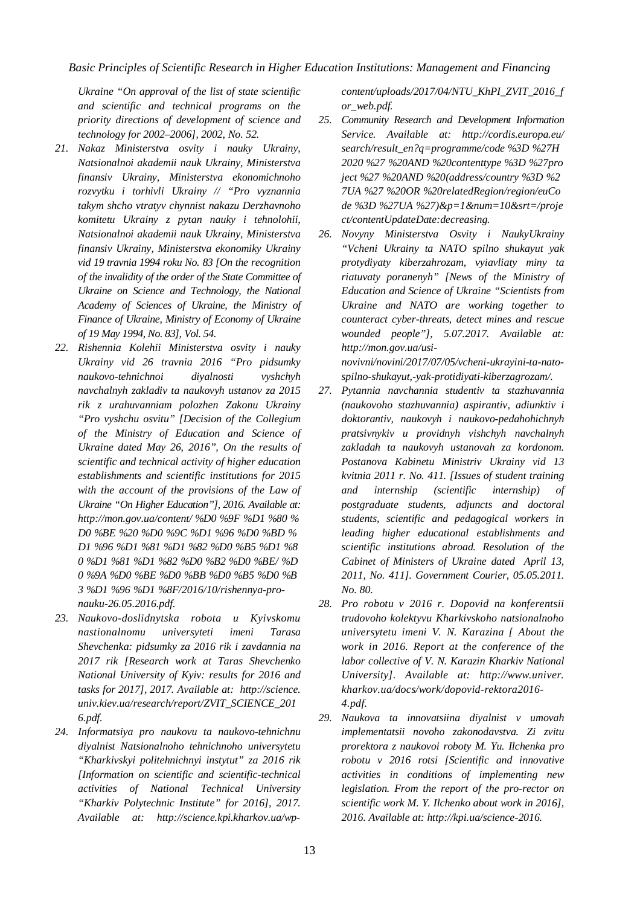*Ukraine "On approval of the list of state scientific and scientific and technical programs on the priority directions of development of science and technology for 2002–2006], 2002, No. 52.* 

- *21. Nakaz Ministerstva osvity i nauky Ukrainy, Natsionalnoi akademii nauk Ukrainy, Ministerstva finansiv Ukrainy, Ministerstva ekonomichnoho rozvytku i torhivli Ukrainy // "Pro vyznannia takym shcho vtratyv chynnist nakazu Derzhavnoho komitetu Ukrainy z pytan nauky i tehnolohii, Natsionalnoi akademii nauk Ukrainy, Ministerstva finansiv Ukrainy, Ministerstva ekonomiky Ukrainy vid 19 travnia 1994 roku No. 83 [On the recognition of the invalidity of the order of the State Committee of Ukraine on Science and Technology, the National Academy of Sciences of Ukraine, the Ministry of Finance of Ukraine, Ministry of Economy of Ukraine of 19 May 1994, No. 83], Vol. 54.*
- *22. Rishennia Kolehii Ministerstva osvity i nauky Ukrainy vid 26 travnia 2016 "Pro pidsumky naukovo-tehnichnoi diyalnosti vyshchyh navchalnyh zakladiv ta naukovyh ustanov za 2015 rik z urahuvanniam polozhen Zakonu Ukrainy "Pro vyshchu osvitu" [Decision of the Collegium of the Ministry of Education and Science of Ukraine dated May 26, 2016", On the results of scientific and technical activity of higher education establishments and scientific institutions for 2015 with the account of the provisions of the Law of Ukraine "On Higher Education"], 2016. Available at: http://mon.gov.ua/content/ %D0 %9F %D1 %80 % D0 %BE %20 %D0 %9C %D1 %96 %D0 %BD % D1 %96 %D1 %81 %D1 %82 %D0 %B5 %D1 %8 0 %D1 %81 %D1 %82 %D0 %B2 %D0 %BE/ %D 0 %9A %D0 %BE %D0 %BB %D0 %B5 %D0 %B 3 %D1 %96 %D1 %8F/2016/10/rishennya-pronauku-26.05.2016.pdf.*
- *23. Naukovo-doslidnytska robota u Kyivskomu nastionalnomu universyteti imeni Tarasa Shevchenka: pidsumky za 2016 rik i zavdannia na 2017 rik [Research work at Taras Shevchenko National University of Kyiv: results for 2016 and tasks for 2017], 2017. Available at: http://science. univ.kiev.ua/research/report/ZVIT\_SCIENCE\_201 6.pdf.*
- *24. Informatsiya pro naukovu ta naukovo-tehnichnu diyalnist Natsionalnoho tehnichnoho universytetu "Kharkivskyi politehnichnyi instytut" za 2016 rik [Information on scientific and scientific-technical activities of National Technical University "Kharkiv Polytechnic Institute" for 2016], 2017. Available at: http://science.kpi.kharkov.ua/wp-*

*content/uploads/2017/04/NTU\_KhPI\_ZVIT\_2016\_f or\_web.pdf.* 

- *25. Community Research and Development Information Service. Available at: http://cordis.europa.eu/ search/result\_en?q=programme/code %3D %27H 2020 %27 %20AND %20contenttype %3D %27pro ject %27 %20AND %20(address/country %3D %2 7UA %27 %20OR %20relatedRegion/region/euCo de %3D %27UA %27)&p=1&num=10&srt=/proje ct/contentUpdateDate:decreasing.*
- *26. Novyny Ministerstva Osvity i NaukyUkrainy "Vcheni Ukrainy ta NATO spilno shukayut yak protydiyaty kiberzahrozam, vyiavliaty miny ta riatuvaty poranenyh" [News of the Ministry of Education and Science of Ukraine "Scientists from Ukraine and NATO are working together to counteract cyber-threats, detect mines and rescue wounded people"], 5.07.2017. Available at: http://mon.gov.ua/usinovivni/novini/2017/07/05/vcheni-ukrayini-ta-nato-*

*spilno-shukayut,-yak-protidiyati-kiberzagrozam/.* 

- *27. Pytannia navchannia studentiv ta stazhuvannia (naukovoho stazhuvannia) aspirantiv, adiunktiv i doktorantiv, naukovyh i naukovo-pedahohichnyh pratsivnykiv u providnyh vishchyh navchalnyh zakladah ta naukovyh ustanovah za kordonom. Postanova Kabinetu Ministriv Ukrainy vid 13 kvitnia 2011 r. No. 411. [Issues of student training and internship (scientific internship) of postgraduate students, adjuncts and doctoral students, scientific and pedagogical workers in leading higher educational establishments and scientific institutions abroad. Resolution of the Cabinet of Ministers of Ukraine dated April 13, 2011, No. 411]. Government Courier, 05.05.2011. No. 80.*
- *28. Pro robotu v 2016 r. Dopovid na konferentsii trudovoho kolektyvu Kharkivskoho natsionalnoho universytetu imeni V. N. Karazina [ About the work in 2016. Report at the conference of the labor collective of V. N. Karazin Kharkiv National University]. Available at: http://www.univer. kharkov.ua/docs/work/dopovid-rektora2016- 4.pdf.*
- *29. Naukova ta innovatsiina diyalnist v umovah implementatsii novoho zakonodavstva. Zi zvitu prorektora z naukovoi roboty M. Yu. Ilchenka pro robotu v 2016 rotsi [Scientific and innovative activities in conditions of implementing new legislation. From the report of the pro-rector on scientific work M. Y. Ilchenko about work in 2016], 2016. Available at: http://kpi.ua/science-2016.*